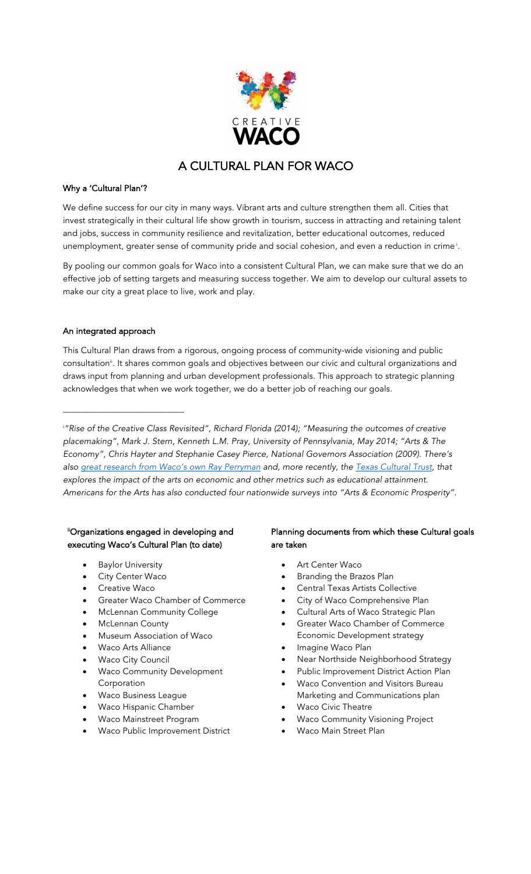

# A CULTURAL PLAN FOR WACO

### Why a 'Cultural Plan'?

We define success for our city in many ways. Vibrant arts and culture strengthen them all. Cities that invest strategically in their cultural life show growth in tourism, success in attracting and retaining talent and jobs, success in community resilience and revitalization, better educational outcomes, reduced unemployment, greater sense of community pride and social cohesion, and even a reduction in crime  $^{\textrm{i}}$ .

By pooling our common goals for Waco into a consistent Cultural Plan, we can make sure that we do an effective job of setting targets and measuring success together. We aim to develop our cultural assets to make our city a great place to live, work and play.

## An integrated approach

\_\_\_\_\_\_\_\_\_\_\_\_\_\_\_\_\_\_\_\_\_\_\_\_\_\_\_\_

This Cultural Plan draws from a rigorous, ongoing process of community-wide visioning and public consultation<sup>ii</sup>. It shares common goals and objectives between our civic and cultural organizations and draws input from planning and urban development professionals. This approach to strategic planning acknowledges that when we work together, we do a better job of reaching our goals.

i *"Rise of the Creative Class Revisited", Richard Florida (2014); "Measuring the outcomes of creative placemaking", Mark J. Stern, Kenneth L.M. Pray, University of Pennsylvania, May 2014; "Arts & The Economy", Chris Hayter and Stephanie Casey Pierce, National Governors Association (2009). There's also great research from Waco's own Ray Perryman and, more recently, the Texas Cultural Trust, that explores the impact of the arts on economic and other metrics such as educational attainment. Americans for the Arts has also conducted four nationwide surveys into "Arts & Economic Prosperity".*

## iiOrganizations engaged in developing and executing Waco's Cultural Plan (to date)

- **Baylor University**
- City Center Waco
- Creative Waco
- Greater Waco Chamber of Commerce
- McLennan Community College
- McLennan County
- Museum Association of Waco
- Waco Arts Alliance
- **Waco City Council**
- Waco Community Development Corporation
- Waco Business League
- Waco Hispanic Chamber
- Waco Mainstreet Program
- Waco Public Improvement District

# Planning documents from which these Cultural goals are taken

- Art Center Waco
- Branding the Brazos Plan
- Central Texas Artists Collective
- City of Waco Comprehensive Plan
- Cultural Arts of Waco Strategic Plan
- Greater Waco Chamber of Commerce Economic Development strategy
- Imagine Waco Plan
- Near Northside Neighborhood Strategy
- Public Improvement District Action Plan
- Waco Convention and Visitors Bureau
	- Marketing and Communications plan **Waco Civic Theatre**
- Waco Community Visioning Project
- Waco Main Street Plan